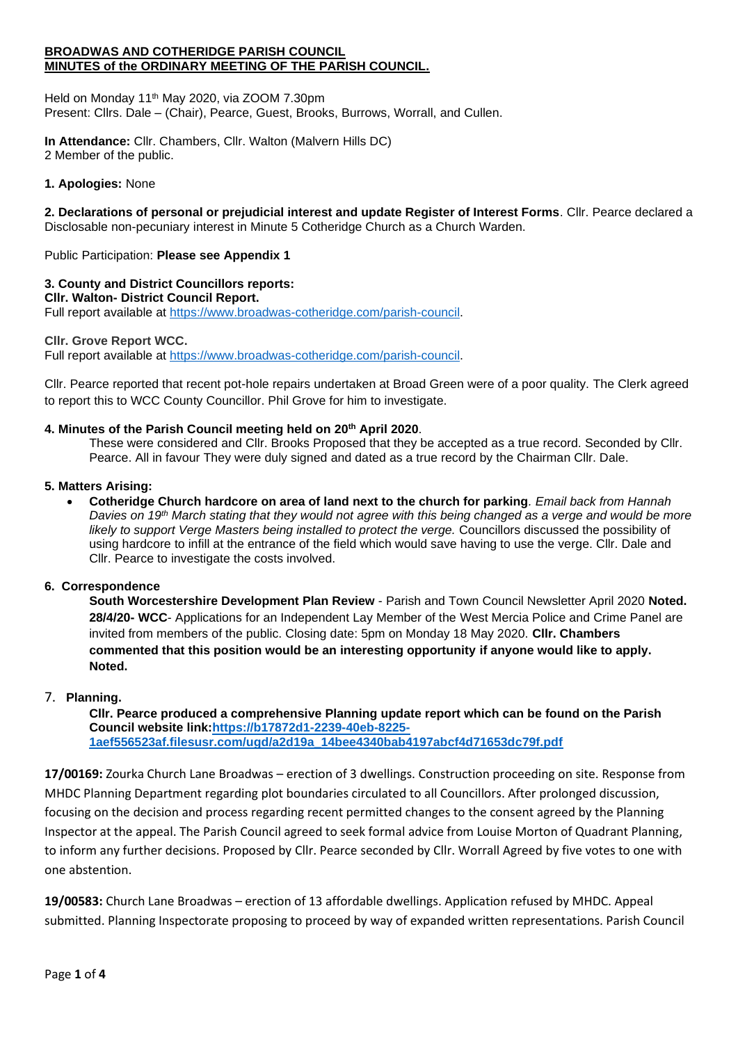#### **BROADWAS AND COTHERIDGE PARISH COUNCIL MINUTES of the ORDINARY MEETING OF THE PARISH COUNCIL.**

Held on Monday 11th May 2020, via ZOOM 7.30pm Present: Cllrs. Dale – (Chair), Pearce, Guest, Brooks, Burrows, Worrall, and Cullen.

**In Attendance:** Cllr. Chambers, Cllr. Walton (Malvern Hills DC) 2 Member of the public.

### **1. Apologies:** None

**2. Declarations of personal or prejudicial interest and update Register of Interest Forms**. Cllr. Pearce declared a Disclosable non-pecuniary interest in Minute 5 Cotheridge Church as a Church Warden.

Public Participation: **Please see Appendix 1**

# **3. County and District Councillors reports:**

**Cllr. Walton- District Council Report.** Full report available at [https://www.broadwas-cotheridge.com/parish-council.](https://www.broadwas-cotheridge.com/parish-council)

### **Cllr. Grove Report WCC.**

Full report available at [https://www.broadwas-cotheridge.com/parish-council.](https://www.broadwas-cotheridge.com/parish-council)

Cllr. Pearce reported that recent pot-hole repairs undertaken at Broad Green were of a poor quality. The Clerk agreed to report this to WCC County Councillor. Phil Grove for him to investigate.

### **4. Minutes of the Parish Council meeting held on 20th April 2020**.

These were considered and Cllr. Brooks Proposed that they be accepted as a true record. Seconded by Cllr. Pearce. All in favour They were duly signed and dated as a true record by the Chairman Cllr. Dale.

### **5. Matters Arising:**

• **Cotheridge Church hardcore on area of land next to the church for parking***. Email back from Hannah Davies on 19th March stating that they would not agree with this being changed as a verge and would be more likely to support Verge Masters being installed to protect the verge.* Councillors discussed the possibility of using hardcore to infill at the entrance of the field which would save having to use the verge. Cllr. Dale and Cllr. Pearce to investigate the costs involved.

### **6. Correspondence**

**South Worcestershire Development Plan Review** - Parish and Town Council Newsletter April 2020 **Noted. 28/4/20- WCC**- Applications for an Independent Lay Member of the West Mercia Police and Crime Panel are invited from members of the public. Closing date: 5pm on Monday 18 May 2020. **Cllr. Chambers commented that this position would be an interesting opportunity if anyone would like to apply. Noted.**

### 7. **Planning.**

**Cllr. Pearce produced a comprehensive Planning update report which can be found on the Parish Council website link[:https://b17872d1-2239-40eb-8225-](https://b17872d1-2239-40eb-8225-1aef556523af.filesusr.com/ugd/a2d19a_14bee4340bab4197abcf4d71653dc79f.pdf) [1aef556523af.filesusr.com/ugd/a2d19a\\_14bee4340bab4197abcf4d71653dc79f.pdf](https://b17872d1-2239-40eb-8225-1aef556523af.filesusr.com/ugd/a2d19a_14bee4340bab4197abcf4d71653dc79f.pdf)**

**17/00169:** Zourka Church Lane Broadwas – erection of 3 dwellings. Construction proceeding on site. Response from MHDC Planning Department regarding plot boundaries circulated to all Councillors. After prolonged discussion, focusing on the decision and process regarding recent permitted changes to the consent agreed by the Planning Inspector at the appeal. The Parish Council agreed to seek formal advice from Louise Morton of Quadrant Planning, to inform any further decisions. Proposed by Cllr. Pearce seconded by Cllr. Worrall Agreed by five votes to one with one abstention.

**19/00583:** Church Lane Broadwas – erection of 13 affordable dwellings. Application refused by MHDC. Appeal submitted. Planning Inspectorate proposing to proceed by way of expanded written representations. Parish Council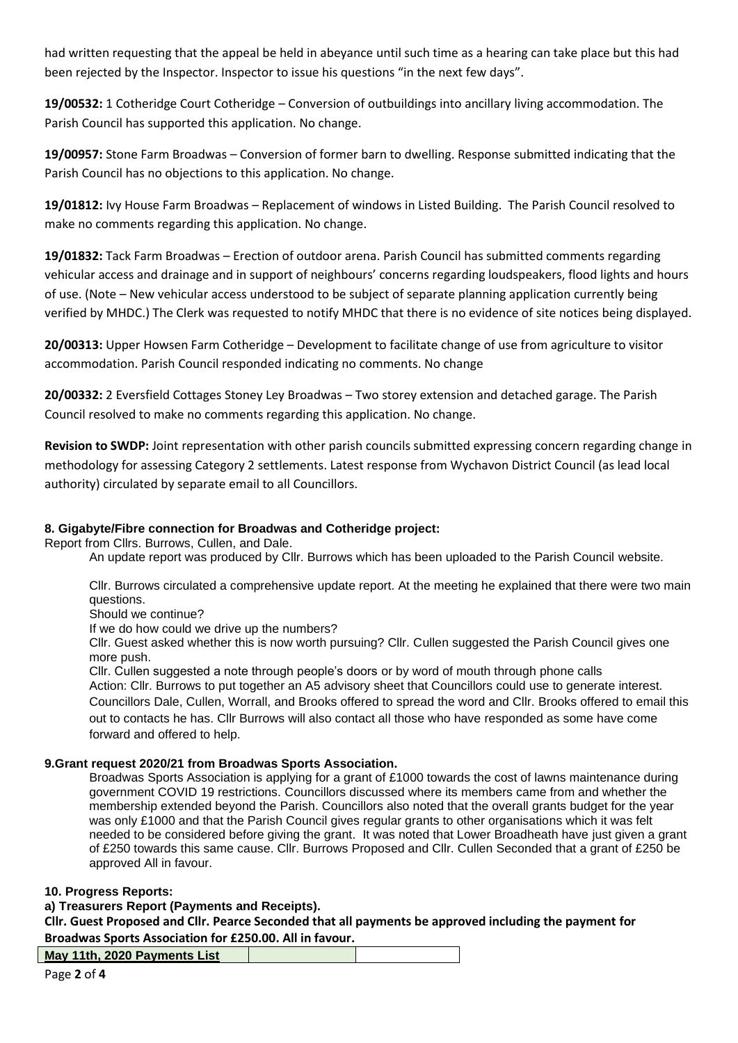had written requesting that the appeal be held in abeyance until such time as a hearing can take place but this had been rejected by the Inspector. Inspector to issue his questions "in the next few days".

**19/00532:** 1 Cotheridge Court Cotheridge – Conversion of outbuildings into ancillary living accommodation. The Parish Council has supported this application. No change.

**19/00957:** Stone Farm Broadwas – Conversion of former barn to dwelling. Response submitted indicating that the Parish Council has no objections to this application. No change.

**19/01812:** Ivy House Farm Broadwas – Replacement of windows in Listed Building. The Parish Council resolved to make no comments regarding this application. No change.

**19/01832:** Tack Farm Broadwas – Erection of outdoor arena. Parish Council has submitted comments regarding vehicular access and drainage and in support of neighbours' concerns regarding loudspeakers, flood lights and hours of use. (Note – New vehicular access understood to be subject of separate planning application currently being verified by MHDC.) The Clerk was requested to notify MHDC that there is no evidence of site notices being displayed.

**20/00313:** Upper Howsen Farm Cotheridge – Development to facilitate change of use from agriculture to visitor accommodation. Parish Council responded indicating no comments. No change

**20/00332:** 2 Eversfield Cottages Stoney Ley Broadwas – Two storey extension and detached garage. The Parish Council resolved to make no comments regarding this application. No change.

**Revision to SWDP:** Joint representation with other parish councils submitted expressing concern regarding change in methodology for assessing Category 2 settlements. Latest response from Wychavon District Council (as lead local authority) circulated by separate email to all Councillors.

# **8. Gigabyte/Fibre connection for Broadwas and Cotheridge project:**

Report from Cllrs. Burrows, Cullen, and Dale.

An update report was produced by Cllr. Burrows which has been uploaded to the Parish Council website.

Cllr. Burrows circulated a comprehensive update report. At the meeting he explained that there were two main questions.

Should we continue?

If we do how could we drive up the numbers?

Cllr. Guest asked whether this is now worth pursuing? Cllr. Cullen suggested the Parish Council gives one more push.

Cllr. Cullen suggested a note through people's doors or by word of mouth through phone calls Action: Cllr. Burrows to put together an A5 advisory sheet that Councillors could use to generate interest. Councillors Dale, Cullen, Worrall, and Brooks offered to spread the word and Cllr. Brooks offered to email this out to contacts he has. Cllr Burrows will also contact all those who have responded as some have come forward and offered to help.

# **9.Grant request 2020/21 from Broadwas Sports Association.**

Broadwas Sports Association is applying for a grant of £1000 towards the cost of lawns maintenance during government COVID 19 restrictions. Councillors discussed where its members came from and whether the membership extended beyond the Parish. Councillors also noted that the overall grants budget for the year was only £1000 and that the Parish Council gives regular grants to other organisations which it was felt needed to be considered before giving the grant. It was noted that Lower Broadheath have just given a grant of £250 towards this same cause. Cllr. Burrows Proposed and Cllr. Cullen Seconded that a grant of £250 be approved All in favour.

### **10. Progress Reports:**

**a) Treasurers Report (Payments and Receipts).**

**Cllr. Guest Proposed and Cllr. Pearce Seconded that all payments be approved including the payment for Broadwas Sports Association for £250.00. All in favour.**

| May 11th, 2020 Payments List |  |
|------------------------------|--|
|                              |  |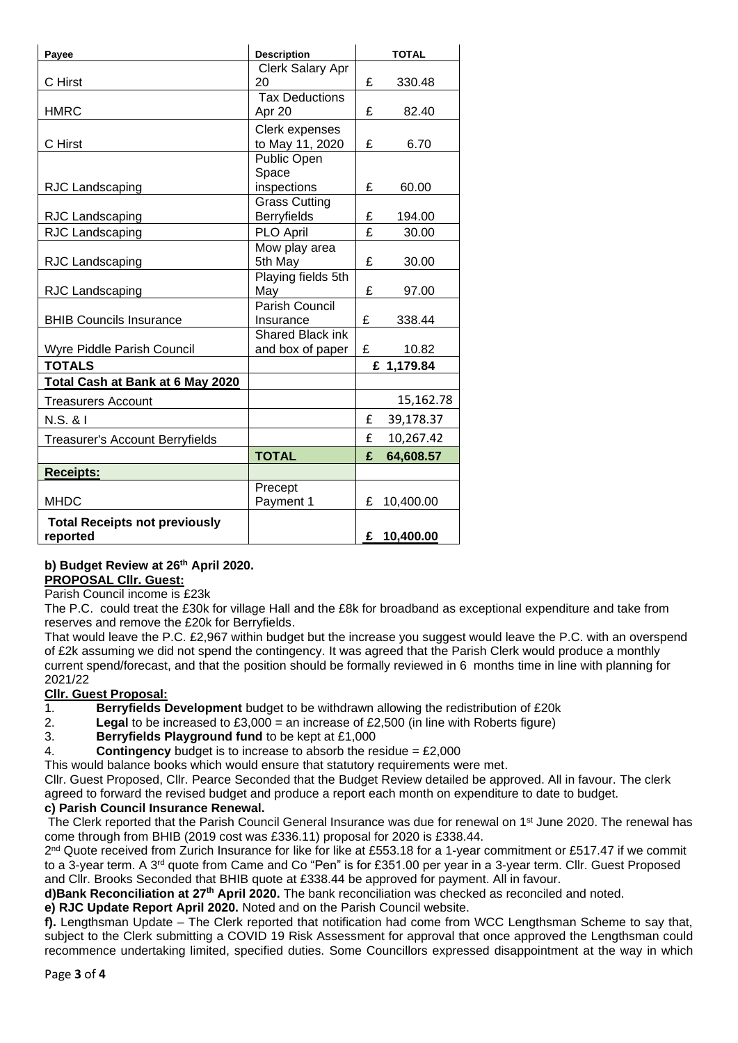| Payee                                  | <b>Description</b>      | <b>TOTAL</b> |             |
|----------------------------------------|-------------------------|--------------|-------------|
|                                        | Clerk Salary Apr        |              |             |
| C Hirst                                | 20                      | £            | 330.48      |
|                                        | <b>Tax Deductions</b>   |              |             |
| <b>HMRC</b>                            | Apr 20                  | £            | 82.40       |
|                                        | Clerk expenses          |              |             |
| C Hirst                                | to May 11, 2020         | £            | 6.70        |
|                                        | Public Open             |              |             |
|                                        | Space                   |              |             |
| RJC Landscaping                        | inspections             | £            | 60.00       |
|                                        | <b>Grass Cutting</b>    |              |             |
| RJC Landscaping                        | <b>Berryfields</b>      | £            | 194.00      |
| RJC Landscaping                        | PLO April               | £            | 30.00       |
|                                        | Mow play area           |              |             |
| RJC Landscaping                        | 5th May                 | £            | 30.00       |
|                                        | Playing fields 5th      |              |             |
| RJC Landscaping                        | May                     | £            | 97.00       |
|                                        | Parish Council          |              |             |
| <b>BHIB Councils Insurance</b>         | Insurance               | £            | 338.44      |
|                                        | <b>Shared Black ink</b> |              |             |
| Wyre Piddle Parish Council             | and box of paper        | £            | 10.82       |
| <b>TOTALS</b>                          |                         | £ 1,179.84   |             |
| Total Cash at Bank at 6 May 2020       |                         |              |             |
| <b>Treasurers Account</b>              |                         |              | 15,162.78   |
| N.S. & I                               |                         | £            | 39,178.37   |
| <b>Treasurer's Account Berryfields</b> |                         | £            | 10,267.42   |
|                                        | <b>TOTAL</b>            | £            | 64,608.57   |
| <b>Receipts:</b>                       |                         |              |             |
|                                        | Precept                 |              |             |
| <b>MHDC</b>                            | Payment 1               | £            | 10,400.00   |
| <b>Total Receipts not previously</b>   |                         |              |             |
| reported                               |                         |              | £ 10,400.00 |

#### **b) Budget Review at 26th April 2020. PROPOSAL Cllr. Guest:**

Parish Council income is £23k

The P.C. could treat the £30k for village Hall and the £8k for broadband as exceptional expenditure and take from reserves and remove the £20k for Berryfields.

That would leave the P.C. £2,967 within budget but the increase you suggest would leave the P.C. with an overspend of £2k assuming we did not spend the contingency. It was agreed that the Parish Clerk would produce a monthly current spend/forecast, and that the position should be formally reviewed in 6 months time in line with planning for 2021/22

# **Cllr. Guest Proposal:**

1. **Berryfields Development** budget to be withdrawn allowing the redistribution of £20k

- 2. **Legal** to be increased to £3,000 = an increase of £2,500 (in line with Roberts figure)
- 3. **Berryfields Playground fund** to be kept at £1,000
- 4. **Contingency** budget is to increase to absorb the residue = £2,000

This would balance books which would ensure that statutory requirements were met.

Cllr. Guest Proposed, Cllr. Pearce Seconded that the Budget Review detailed be approved. All in favour. The clerk agreed to forward the revised budget and produce a report each month on expenditure to date to budget.

# **c) Parish Council Insurance Renewal.**

The Clerk reported that the Parish Council General Insurance was due for renewal on 1<sup>st</sup> June 2020. The renewal has come through from BHIB (2019 cost was £336.11) proposal for 2020 is £338.44.

2<sup>nd</sup> Quote received from Zurich Insurance for like for like at £553.18 for a 1-year commitment or £517.47 if we commit to a 3-year term. A 3<sup>rd</sup> quote from Came and Co "Pen" is for £351.00 per year in a 3-year term. Cllr. Guest Proposed and Cllr. Brooks Seconded that BHIB quote at £338.44 be approved for payment. All in favour.

**d)Bank Reconciliation at 27th April 2020.** The bank reconciliation was checked as reconciled and noted.

**e) RJC Update Report April 2020.** Noted and on the Parish Council website.

**f).** Lengthsman Update – The Clerk reported that notification had come from WCC Lengthsman Scheme to say that, subject to the Clerk submitting a COVID 19 Risk Assessment for approval that once approved the Lengthsman could recommence undertaking limited, specified duties. Some Councillors expressed disappointment at the way in which